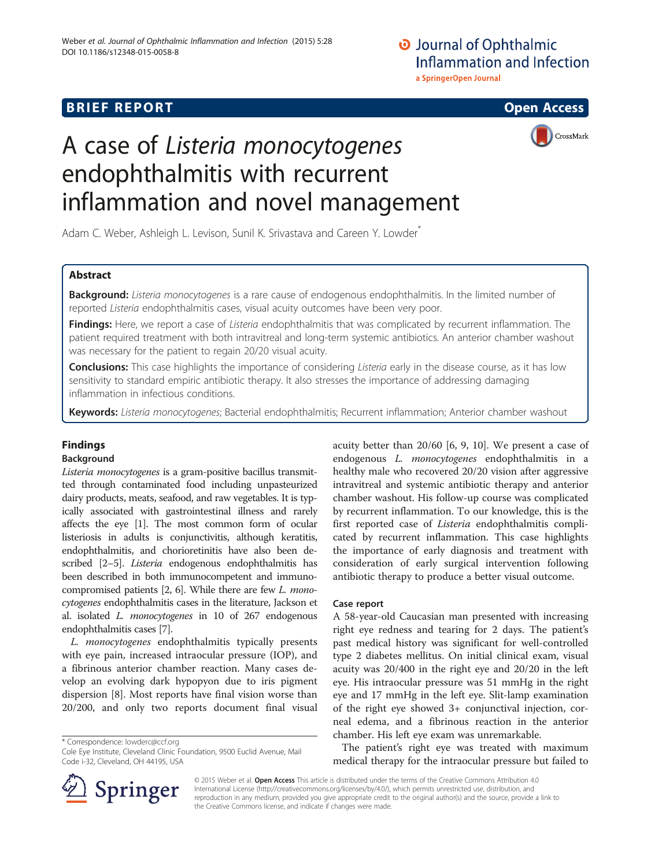# **Journal of Ophthalmic** Inflammation and Infection a SpringerOpen Journal

# **BRIEF REPORT CONSTRUCTION CONSTRUCTION**



# A case of Listeria monocytogenes endophthalmitis with recurrent inflammation and novel management

Adam C. Weber, Ashleigh L. Levison, Sunil K. Srivastava and Careen Y. Lowder<sup>\*</sup>

# Abstract

Background: Listeria monocytogenes is a rare cause of endogenous endophthalmitis. In the limited number of reported Listeria endophthalmitis cases, visual acuity outcomes have been very poor.

Findings: Here, we report a case of Listeria endophthalmitis that was complicated by recurrent inflammation. The patient required treatment with both intravitreal and long-term systemic antibiotics. An anterior chamber washout was necessary for the patient to regain 20/20 visual acuity.

Conclusions: This case highlights the importance of considering Listeria early in the disease course, as it has low sensitivity to standard empiric antibiotic therapy. It also stresses the importance of addressing damaging inflammation in infectious conditions.

Keywords: Listeria monocytogenes; Bacterial endophthalmitis; Recurrent inflammation; Anterior chamber washout

# Findings

#### Background

Listeria monocytogenes is a gram-positive bacillus transmitted through contaminated food including unpasteurized dairy products, meats, seafood, and raw vegetables. It is typically associated with gastrointestinal illness and rarely affects the eye [\[1\]](#page-3-0). The most common form of ocular listeriosis in adults is conjunctivitis, although keratitis, endophthalmitis, and chorioretinitis have also been de-scribed [[2](#page-3-0)–[5\]](#page-3-0). *Listeria* endogenous endophthalmitis has been described in both immunocompetent and immunocompromised patients [\[2](#page-3-0), [6](#page-3-0)]. While there are few L. monocytogenes endophthalmitis cases in the literature, Jackson et al. isolated L. monocytogenes in 10 of 267 endogenous endophthalmitis cases [\[7](#page-3-0)].

L. monocytogenes endophthalmitis typically presents with eye pain, increased intraocular pressure (IOP), and a fibrinous anterior chamber reaction. Many cases develop an evolving dark hypopyon due to iris pigment dispersion [[8\]](#page-3-0). Most reports have final vision worse than 20/200, and only two reports document final visual

\* Correspondence: [lowderc@ccf.org](mailto:lowderc@ccf.org)

acuity better than 20/60 [\[6](#page-3-0), [9, 10](#page-3-0)]. We present a case of endogenous L. monocytogenes endophthalmitis in a healthy male who recovered 20/20 vision after aggressive intravitreal and systemic antibiotic therapy and anterior chamber washout. His follow-up course was complicated by recurrent inflammation. To our knowledge, this is the first reported case of Listeria endophthalmitis complicated by recurrent inflammation. This case highlights the importance of early diagnosis and treatment with consideration of early surgical intervention following antibiotic therapy to produce a better visual outcome.

#### Case report

A 58-year-old Caucasian man presented with increasing right eye redness and tearing for 2 days. The patient's past medical history was significant for well-controlled type 2 diabetes mellitus. On initial clinical exam, visual acuity was 20/400 in the right eye and 20/20 in the left eye. His intraocular pressure was 51 mmHg in the right eye and 17 mmHg in the left eye. Slit-lamp examination of the right eye showed 3+ conjunctival injection, corneal edema, and a fibrinous reaction in the anterior chamber. His left eye exam was unremarkable.

The patient's right eye was treated with maximum medical therapy for the intraocular pressure but failed to



© 2015 Weber et al. Open Access This article is distributed under the terms of the Creative Commons Attribution 4.0 International License ([http://creativecommons.org/licenses/by/4.0/\)](http://creativecommons.org/licenses/by/4.0/), which permits unrestricted use, distribution, and reproduction in any medium, provided you give appropriate credit to the original author(s) and the source, provide a link to the Creative Commons license, and indicate if changes were made.

Cole Eye Institute, Cleveland Clinic Foundation, 9500 Euclid Avenue, Mail Code i-32, Cleveland, OH 44195, USA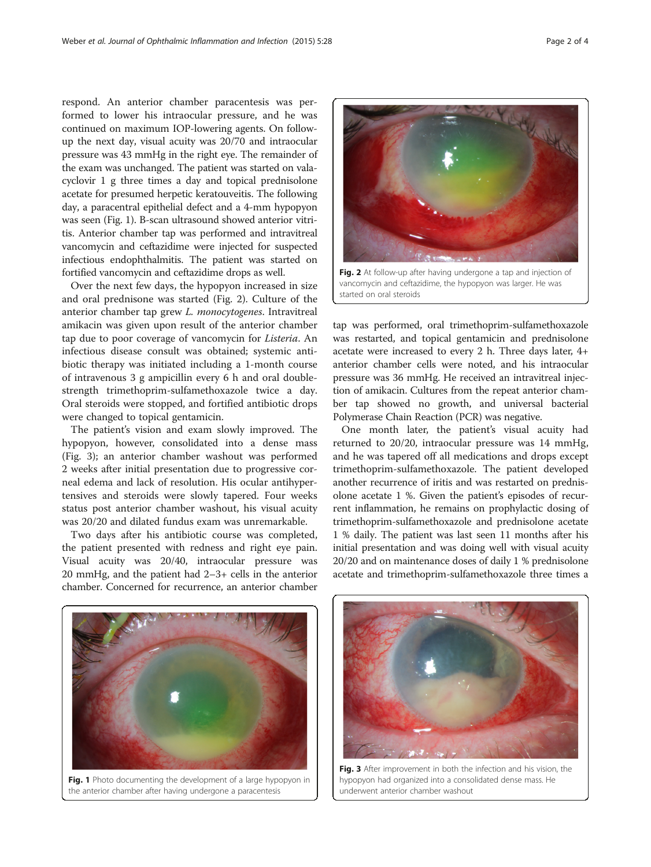respond. An anterior chamber paracentesis was performed to lower his intraocular pressure, and he was continued on maximum IOP-lowering agents. On followup the next day, visual acuity was 20/70 and intraocular pressure was 43 mmHg in the right eye. The remainder of the exam was unchanged. The patient was started on valacyclovir 1 g three times a day and topical prednisolone acetate for presumed herpetic keratouveitis. The following day, a paracentral epithelial defect and a 4-mm hypopyon was seen (Fig. 1). B-scan ultrasound showed anterior vitritis. Anterior chamber tap was performed and intravitreal vancomycin and ceftazidime were injected for suspected infectious endophthalmitis. The patient was started on fortified vancomycin and ceftazidime drops as well.

Over the next few days, the hypopyon increased in size and oral prednisone was started (Fig. 2). Culture of the anterior chamber tap grew L. monocytogenes. Intravitreal amikacin was given upon result of the anterior chamber tap due to poor coverage of vancomycin for Listeria. An infectious disease consult was obtained; systemic antibiotic therapy was initiated including a 1-month course of intravenous 3 g ampicillin every 6 h and oral doublestrength trimethoprim-sulfamethoxazole twice a day. Oral steroids were stopped, and fortified antibiotic drops were changed to topical gentamicin.

The patient's vision and exam slowly improved. The hypopyon, however, consolidated into a dense mass (Fig. 3); an anterior chamber washout was performed 2 weeks after initial presentation due to progressive corneal edema and lack of resolution. His ocular antihypertensives and steroids were slowly tapered. Four weeks status post anterior chamber washout, his visual acuity was 20/20 and dilated fundus exam was unremarkable.

Two days after his antibiotic course was completed, the patient presented with redness and right eye pain. Visual acuity was 20/40, intraocular pressure was 20 mmHg, and the patient had 2–3+ cells in the anterior chamber. Concerned for recurrence, an anterior chamber

Fig. 2 At follow-up after having undergone a tap and injection of vancomycin and ceftazidime, the hypopyon was larger. He was

started on oral steroids

tap was performed, oral trimethoprim-sulfamethoxazole was restarted, and topical gentamicin and prednisolone acetate were increased to every 2 h. Three days later, 4+ anterior chamber cells were noted, and his intraocular pressure was 36 mmHg. He received an intravitreal injection of amikacin. Cultures from the repeat anterior chamber tap showed no growth, and universal bacterial Polymerase Chain Reaction (PCR) was negative.

One month later, the patient's visual acuity had returned to 20/20, intraocular pressure was 14 mmHg, and he was tapered off all medications and drops except trimethoprim-sulfamethoxazole. The patient developed another recurrence of iritis and was restarted on prednisolone acetate 1 %. Given the patient's episodes of recurrent inflammation, he remains on prophylactic dosing of trimethoprim-sulfamethoxazole and prednisolone acetate 1 % daily. The patient was last seen 11 months after his initial presentation and was doing well with visual acuity 20/20 and on maintenance doses of daily 1 % prednisolone acetate and trimethoprim-sulfamethoxazole three times a





Fig. 3 After improvement in both the infection and his vision, the hypopyon had organized into a consolidated dense mass. He underwent anterior chamber washout

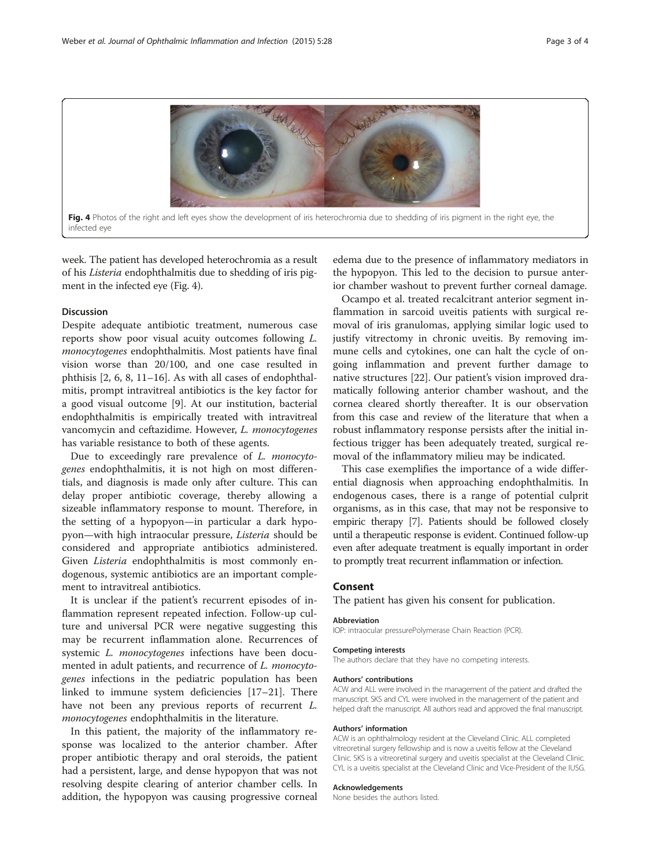

infected eye

week. The patient has developed heterochromia as a result of his Listeria endophthalmitis due to shedding of iris pigment in the infected eye (Fig. 4).

#### Discussion

Despite adequate antibiotic treatment, numerous case reports show poor visual acuity outcomes following L. monocytogenes endophthalmitis. Most patients have final vision worse than 20/100, and one case resulted in phthisis [[2](#page-3-0), [6, 8, 11](#page-3-0)–[16](#page-3-0)]. As with all cases of endophthalmitis, prompt intravitreal antibiotics is the key factor for a good visual outcome [\[9\]](#page-3-0). At our institution, bacterial endophthalmitis is empirically treated with intravitreal vancomycin and ceftazidime. However, L. monocytogenes has variable resistance to both of these agents.

Due to exceedingly rare prevalence of L. monocytogenes endophthalmitis, it is not high on most differentials, and diagnosis is made only after culture. This can delay proper antibiotic coverage, thereby allowing a sizeable inflammatory response to mount. Therefore, in the setting of a hypopyon—in particular a dark hypopyon—with high intraocular pressure, Listeria should be considered and appropriate antibiotics administered. Given Listeria endophthalmitis is most commonly endogenous, systemic antibiotics are an important complement to intravitreal antibiotics.

It is unclear if the patient's recurrent episodes of inflammation represent repeated infection. Follow-up culture and universal PCR were negative suggesting this may be recurrent inflammation alone. Recurrences of systemic L. monocytogenes infections have been documented in adult patients, and recurrence of *L. monocyto*genes infections in the pediatric population has been linked to immune system deficiencies [[17](#page-3-0)–[21](#page-3-0)]. There have not been any previous reports of recurrent L. monocytogenes endophthalmitis in the literature.

In this patient, the majority of the inflammatory response was localized to the anterior chamber. After proper antibiotic therapy and oral steroids, the patient had a persistent, large, and dense hypopyon that was not resolving despite clearing of anterior chamber cells. In addition, the hypopyon was causing progressive corneal

edema due to the presence of inflammatory mediators in the hypopyon. This led to the decision to pursue anterior chamber washout to prevent further corneal damage.

Ocampo et al. treated recalcitrant anterior segment inflammation in sarcoid uveitis patients with surgical removal of iris granulomas, applying similar logic used to justify vitrectomy in chronic uveitis. By removing immune cells and cytokines, one can halt the cycle of ongoing inflammation and prevent further damage to native structures [[22\]](#page-3-0). Our patient's vision improved dramatically following anterior chamber washout, and the cornea cleared shortly thereafter. It is our observation from this case and review of the literature that when a robust inflammatory response persists after the initial infectious trigger has been adequately treated, surgical removal of the inflammatory milieu may be indicated.

This case exemplifies the importance of a wide differential diagnosis when approaching endophthalmitis. In endogenous cases, there is a range of potential culprit organisms, as in this case, that may not be responsive to empiric therapy [\[7\]](#page-3-0). Patients should be followed closely until a therapeutic response is evident. Continued follow-up even after adequate treatment is equally important in order to promptly treat recurrent inflammation or infection.

### Consent

The patient has given his consent for publication.

#### Abbreviation

IOP: intraocular pressurePolymerase Chain Reaction (PCR).

#### Competing interests

The authors declare that they have no competing interests.

#### Authors' contributions

ACW and ALL were involved in the management of the patient and drafted the manuscript. SKS and CYL were involved in the management of the patient and helped draft the manuscript. All authors read and approved the final manuscript.

#### Authors' information

ACW is an ophthalmology resident at the Cleveland Clinic. ALL completed vitreoretinal surgery fellowship and is now a uveitis fellow at the Cleveland Clinic. SKS is a vitreoretinal surgery and uveitis specialist at the Cleveland Clinic. CYL is a uveitis specialist at the Cleveland Clinic and Vice-President of the IUSG.

#### Acknowledgements

None besides the authors listed.